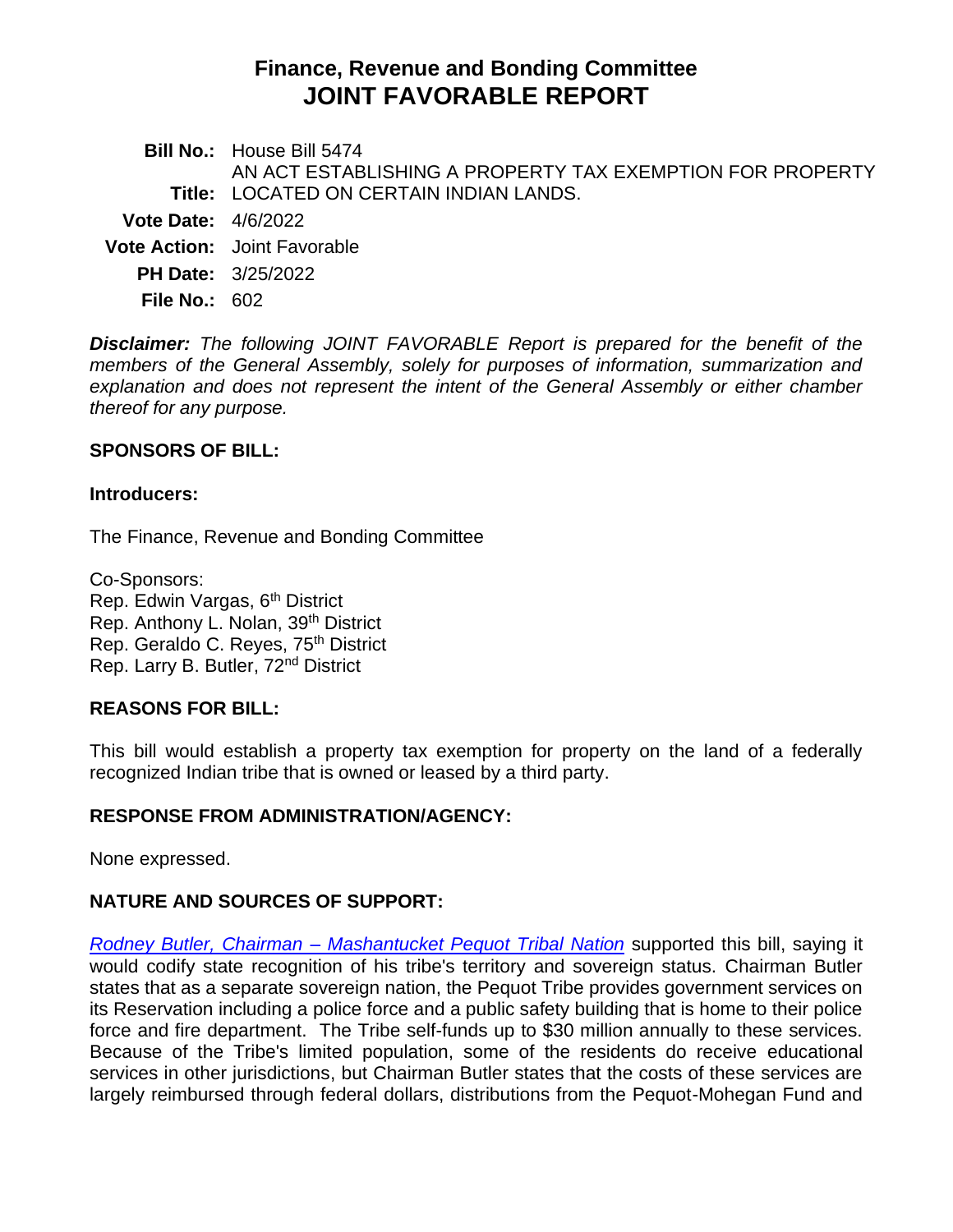# **Finance, Revenue and Bonding Committee JOINT FAVORABLE REPORT**

**Bill No.:** House Bill 5474 **Title:** LOCATED ON CERTAIN INDIAN LANDS. AN ACT ESTABLISHING A PROPERTY TAX EXEMPTION FOR PROPERTY **Vote Date:** 4/6/2022 **Vote Action:** Joint Favorable **PH Date:** 3/25/2022 **File No.:** 602

*Disclaimer: The following JOINT FAVORABLE Report is prepared for the benefit of the members of the General Assembly, solely for purposes of information, summarization and explanation and does not represent the intent of the General Assembly or either chamber thereof for any purpose.*

### **SPONSORS OF BILL:**

#### **Introducers:**

The Finance, Revenue and Bonding Committee

Co-Sponsors: Rep. Edwin Vargas, 6<sup>th</sup> District Rep. Anthony L. Nolan, 39th District Rep. Geraldo C. Reyes, 75<sup>th</sup> District Rep. Larry B. Butler, 72nd District

## **REASONS FOR BILL:**

This bill would establish a property tax exemption for property on the land of a federally recognized Indian tribe that is owned or leased by a third party.

### **RESPONSE FROM ADMINISTRATION/AGENCY:**

None expressed.

## **NATURE AND SOURCES OF SUPPORT:**

*Rodney Butler, Chairman – [Mashantucket Pequot Tribal Nation](https://cga.ct.gov/2022/FINdata/Tmy/2022HB-05474-R000325-Butler,%20Rodney,%20Chairman,%20Mashantucket%20Pequot%20Tribal%20Nation%20-%20Support-TMY.PDF)* supported this bill, saying it would codify state recognition of his tribe's territory and sovereign status. Chairman Butler states that as a separate sovereign nation, the Pequot Tribe provides government services on its Reservation including a police force and a public safety building that is home to their police force and fire department. The Tribe self-funds up to \$30 million annually to these services. Because of the Tribe's limited population, some of the residents do receive educational services in other jurisdictions, but Chairman Butler states that the costs of these services are largely reimbursed through federal dollars, distributions from the Pequot-Mohegan Fund and